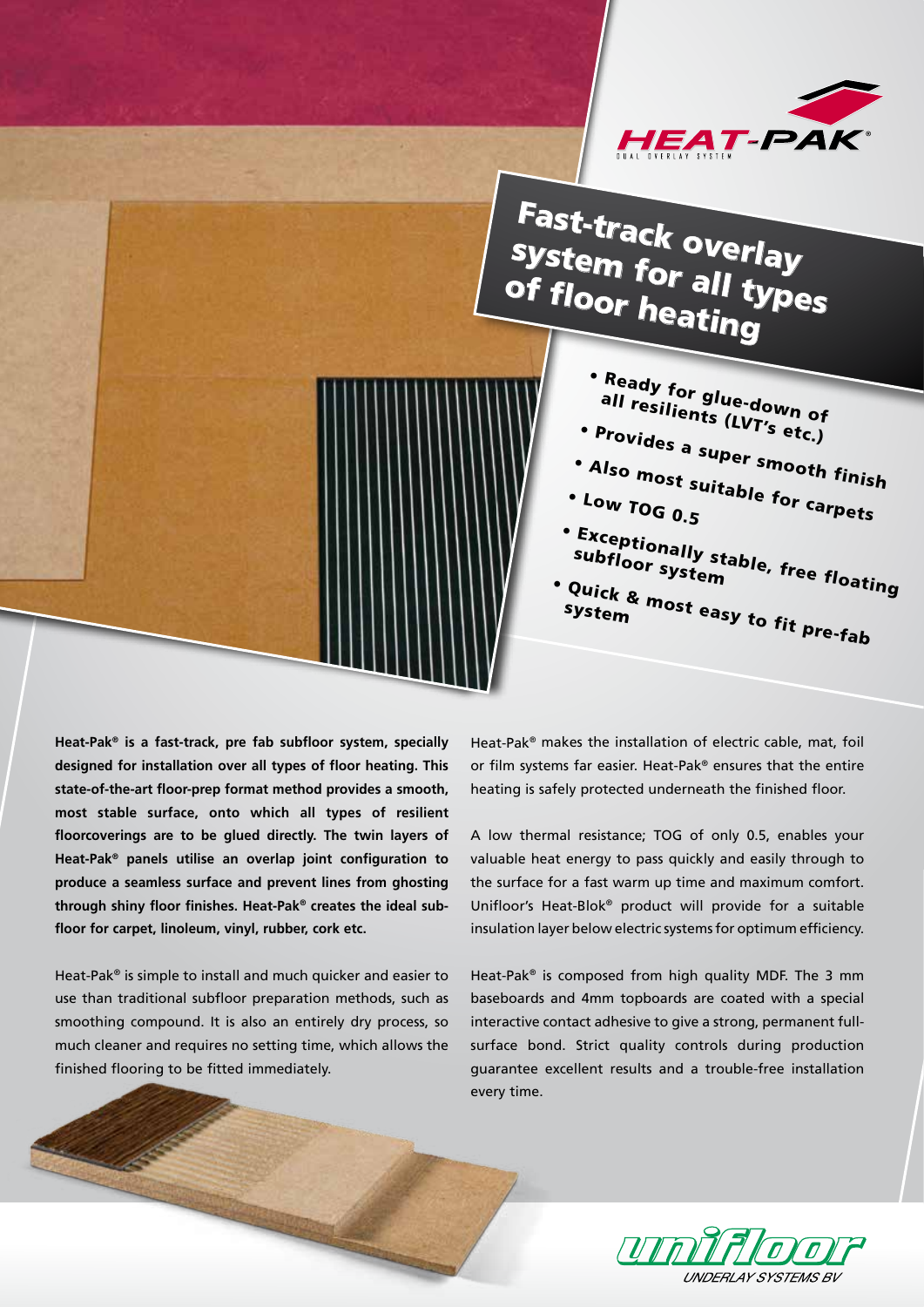

## Fast-track overlay system for all types of floor heating

• Low TOG 0.5

system

subfloor system

• Ready for glue-down of all resilients (LVT's etc.)

• Provides a super smooth finish

• Exceptionally stable, free floating<br>subfloor system<br>Quick e

• Quick & most easy to fit pre-fab

• Also most suitable for carpets

**Heat-Pak® is a fast-track, pre fab subfloor system, specially designed for installation over all types of floor heating. This state-of-the-art floor-prep format method provides a smooth, most stable surface, onto which all types of resilient floorcoverings are to be glued directly. The twin layers of Heat-Pak® panels utilise an overlap joint configuration to produce a seamless surface and prevent lines from ghosting through shiny floor finishes. Heat-Pak® creates the ideal subfloor for carpet, linoleum, vinyl, rubber, cork etc.**

Heat-Pak® is simple to install and much quicker and easier to use than traditional subfloor preparation methods, such as smoothing compound. It is also an entirely dry process, so much cleaner and requires no setting time, which allows the finished flooring to be fitted immediately.

Heat-Pak® makes the installation of electric cable, mat, foil or film systems far easier. Heat-Pak® ensures that the entire heating is safely protected underneath the finished floor.

A low thermal resistance; TOG of only 0.5, enables your valuable heat energy to pass quickly and easily through to the surface for a fast warm up time and maximum comfort. Unifloor's Heat-Blok® product will provide for a suitable insulation layer below electric systems for optimum efficiency.

Heat-Pak® is composed from high quality MDF. The 3 mm baseboards and 4mm topboards are coated with a special interactive contact adhesive to give a strong, permanent fullsurface bond. Strict quality controls during production guarantee excellent results and a trouble-free installation every time.